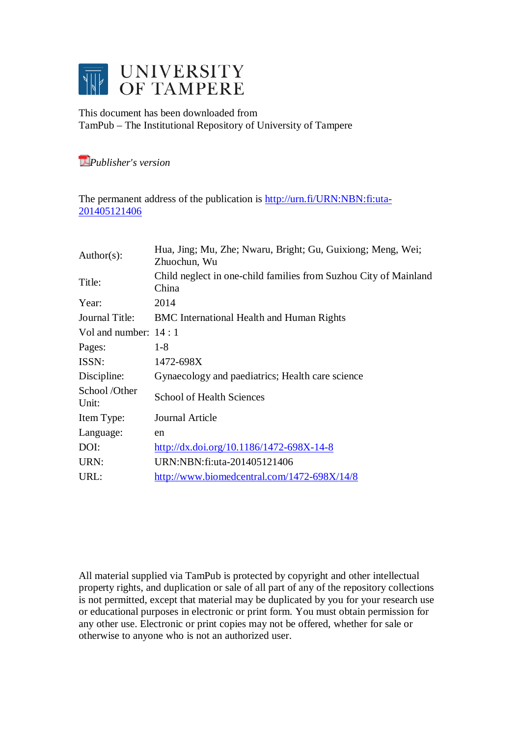

This document has been downloaded from TamPub – The Institutional Repository of University of Tampere

*[P](http://tampub.uta.fi/english/haekokoversio.php?id=1007)ublisher's version* 

The permanent address of the publication is [http://urn.fi/URN:NBN:fi:uta-](http://urn.fi/URN:NBN:fi:uta-201405121406)[201405121406](http://urn.fi/URN:NBN:fi:uta-201405121406)

| Author(s):             | Hua, Jing; Mu, Zhe; Nwaru, Bright; Gu, Guixiong; Meng, Wei;<br>Zhuochun, Wu |
|------------------------|-----------------------------------------------------------------------------|
| Title:                 | Child neglect in one-child families from Suzhou City of Mainland<br>China   |
| Year:                  | 2014                                                                        |
| Journal Title:         | <b>BMC</b> International Health and Human Rights                            |
| Vol and number: $14:1$ |                                                                             |
| Pages:                 | $1 - 8$                                                                     |
| ISSN:                  | 1472-698X                                                                   |
| Discipline:            | Gynaecology and paediatrics; Health care science                            |
| School/Other<br>Unit:  | <b>School of Health Sciences</b>                                            |
| Item Type:             | Journal Article                                                             |
| Language:              | en                                                                          |
| DOI:                   | http://dx.doi.org/10.1186/1472-698X-14-8                                    |
| URN:                   | URN:NBN:fi:uta-201405121406                                                 |
| URL:                   | http://www.biomedcentral.com/1472-698X/14/8                                 |

All material supplied via TamPub is protected by copyright and other intellectual property rights, and duplication or sale of all part of any of the repository collections is not permitted, except that material may be duplicated by you for your research use or educational purposes in electronic or print form. You must obtain permission for any other use. Electronic or print copies may not be offered, whether for sale or otherwise to anyone who is not an authorized user.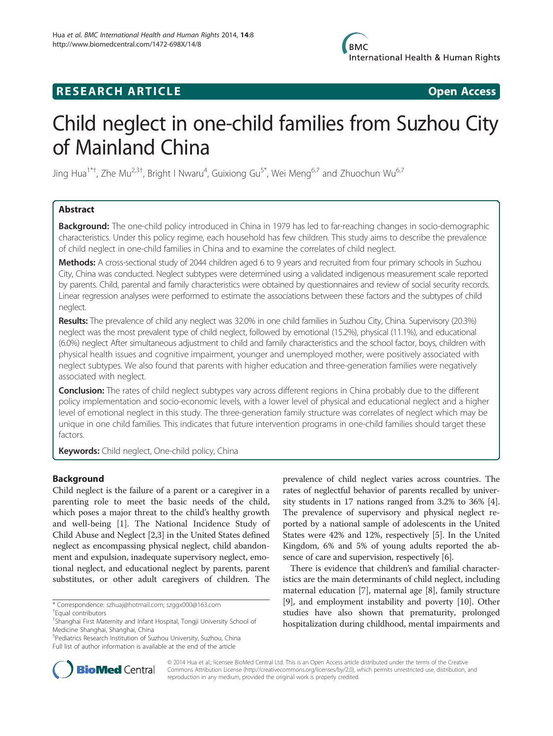# **RESEARCH ARTICLE Example 2018 Open Access**



# Child neglect in one-child families from Suzhou City of Mainland China

Jing Hua<sup>1\*†</sup>, Zhe Mu<sup>2,3†</sup>, Bright I Nwaru<sup>4</sup>, Guixiong Gu<sup>5\*</sup>, Wei Meng<sup>6,7</sup> and Zhuochun Wu<sup>6,7</sup>

# Abstract

**Background:** The one-child policy introduced in China in 1979 has led to far-reaching changes in socio-demographic characteristics. Under this policy regime, each household has few children. This study aims to describe the prevalence of child neglect in one-child families in China and to examine the correlates of child neglect.

Methods: A cross-sectional study of 2044 children aged 6 to 9 years and recruited from four primary schools in Suzhou City, China was conducted. Neglect subtypes were determined using a validated indigenous measurement scale reported by parents. Child, parental and family characteristics were obtained by questionnaires and review of social security records. Linear regression analyses were performed to estimate the associations between these factors and the subtypes of child neglect.

Results: The prevalence of child any neglect was 32.0% in one child families in Suzhou City, China. Supervisory (20.3%) neglect was the most prevalent type of child neglect, followed by emotional (15.2%), physical (11.1%), and educational (6.0%) neglect After simultaneous adjustment to child and family characteristics and the school factor, boys, children with physical health issues and cognitive impairment, younger and unemployed mother, were positively associated with neglect subtypes. We also found that parents with higher education and three-generation families were negatively associated with neglect.

Conclusion: The rates of child neglect subtypes vary across different regions in China probably due to the different policy implementation and socio-economic levels, with a lower level of physical and educational neglect and a higher level of emotional neglect in this study. The three-generation family structure was correlates of neglect which may be unique in one child families. This indicates that future intervention programs in one-child families should target these factors.

Keywords: Child neglect, One-child policy, China

### Background

Child neglect is the failure of a parent or a caregiver in a parenting role to meet the basic needs of the child, which poses a major threat to the child's healthy growth and well-being [[1\]](#page-8-0). The National Incidence Study of Child Abuse and Neglect [\[2,3](#page-8-0)] in the United States defined neglect as encompassing physical neglect, child abandonment and expulsion, inadequate supervisory neglect, emotional neglect, and educational neglect by parents, parent substitutes, or other adult caregivers of children. The

prevalence of child neglect varies across countries. The rates of neglectful behavior of parents recalled by university students in 17 nations ranged from 3.2% to 36% [[4](#page-8-0)]. The prevalence of supervisory and physical neglect reported by a national sample of adolescents in the United States were 42% and 12%, respectively [[5\]](#page-8-0). In the United Kingdom, 6% and 5% of young adults reported the absence of care and supervision, respectively [[6\]](#page-8-0).

There is evidence that children's and familial characteristics are the main determinants of child neglect, including maternal education [\[7](#page-8-0)], maternal age [\[8](#page-8-0)], family structure [[9\]](#page-8-0), and employment instability and poverty [\[10](#page-8-0)]. Other studies have also shown that prematurity, prolonged hospitalization during childhood, mental impairments and



© 2014 Hua et al.; licensee BioMed Central Ltd. This is an Open Access article distributed under the terms of the Creative Commons Attribution License [\(http://creativecommons.org/licenses/by/2.0\)](http://creativecommons.org/licenses/by/2.0), which permits unrestricted use, distribution, and reproduction in any medium, provided the original work is properly credited.

<sup>\*</sup> Correspondence: [szhuaj@hotmail.com;](mailto:szhuaj@hotmail.com) [szggx000@163.com](mailto:szggx000@163.com) †

Equal contributors

<sup>&</sup>lt;sup>1</sup>Shanghai First Maternity and Infant Hospital, Tongji University School of Medicine Shanghai, Shanghai, China

<sup>5</sup> Pediatrics Research Institution of Suzhou University, Suzhou, China Full list of author information is available at the end of the article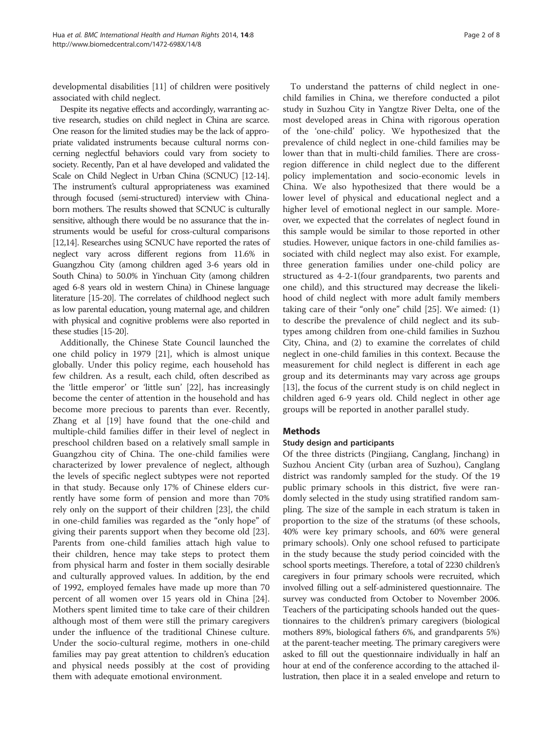developmental disabilities [[11](#page-8-0)] of children were positively associated with child neglect.

Despite its negative effects and accordingly, warranting active research, studies on child neglect in China are scarce. One reason for the limited studies may be the lack of appropriate validated instruments because cultural norms concerning neglectful behaviors could vary from society to society. Recently, Pan et al have developed and validated the Scale on Child Neglect in Urban China (SCNUC) [\[12-14](#page-8-0)]. The instrument's cultural appropriateness was examined through focused (semi-structured) interview with Chinaborn mothers. The results showed that SCNUC is culturally sensitive, although there would be no assurance that the instruments would be useful for cross-cultural comparisons [[12,14](#page-8-0)]. Researches using SCNUC have reported the rates of neglect vary across different regions from 11.6% in Guangzhou City (among children aged 3-6 years old in South China) to 50.0% in Yinchuan City (among children aged 6-8 years old in western China) in Chinese language literature [\[15](#page-8-0)-[20](#page-8-0)]. The correlates of childhood neglect such as low parental education, young maternal age, and children with physical and cognitive problems were also reported in these studies [\[15-20](#page-8-0)].

Additionally, the Chinese State Council launched the one child policy in 1979 [\[21](#page-8-0)], which is almost unique globally. Under this policy regime, each household has few children. As a result, each child, often described as the 'little emperor' or 'little sun' [\[22\]](#page-8-0), has increasingly become the center of attention in the household and has become more precious to parents than ever. Recently, Zhang et al [[19\]](#page-8-0) have found that the one-child and multiple-child families differ in their level of neglect in preschool children based on a relatively small sample in Guangzhou city of China. The one-child families were characterized by lower prevalence of neglect, although the levels of specific neglect subtypes were not reported in that study. Because only 17% of Chinese elders currently have some form of pension and more than 70% rely only on the support of their children [[23](#page-8-0)], the child in one-child families was regarded as the "only hope" of giving their parents support when they become old [\[23](#page-8-0)]. Parents from one-child families attach high value to their children, hence may take steps to protect them from physical harm and foster in them socially desirable and culturally approved values. In addition, by the end of 1992, employed females have made up more than 70 percent of all women over 15 years old in China [\[24](#page-8-0)]. Mothers spent limited time to take care of their children although most of them were still the primary caregivers under the influence of the traditional Chinese culture. Under the socio-cultural regime, mothers in one-child families may pay great attention to children's education and physical needs possibly at the cost of providing them with adequate emotional environment.

To understand the patterns of child neglect in onechild families in China, we therefore conducted a pilot study in Suzhou City in Yangtze River Delta, one of the most developed areas in China with rigorous operation of the 'one-child' policy. We hypothesized that the prevalence of child neglect in one-child families may be lower than that in multi-child families. There are crossregion difference in child neglect due to the different policy implementation and socio-economic levels in China. We also hypothesized that there would be a lower level of physical and educational neglect and a higher level of emotional neglect in our sample. Moreover, we expected that the correlates of neglect found in this sample would be similar to those reported in other studies. However, unique factors in one-child families associated with child neglect may also exist. For example, three generation families under one-child policy are structured as 4-2-1(four grandparents, two parents and one child), and this structured may decrease the likelihood of child neglect with more adult family members taking care of their "only one" child [[25](#page-8-0)]. We aimed: (1) to describe the prevalence of child neglect and its subtypes among children from one-child families in Suzhou City, China, and (2) to examine the correlates of child neglect in one-child families in this context. Because the measurement for child neglect is different in each age group and its determinants may vary across age groups [[13\]](#page-8-0), the focus of the current study is on child neglect in children aged 6-9 years old. Child neglect in other age groups will be reported in another parallel study.

## **Methods**

#### Study design and participants

Of the three districts (Pingjiang, Canglang, Jinchang) in Suzhou Ancient City (urban area of Suzhou), Canglang district was randomly sampled for the study. Of the 19 public primary schools in this district, five were randomly selected in the study using stratified random sampling. The size of the sample in each stratum is taken in proportion to the size of the stratums (of these schools, 40% were key primary schools, and 60% were general primary schools). Only one school refused to participate in the study because the study period coincided with the school sports meetings. Therefore, a total of 2230 children's caregivers in four primary schools were recruited, which involved filling out a self-administered questionnaire. The survey was conducted from October to November 2006. Teachers of the participating schools handed out the questionnaires to the children's primary caregivers (biological mothers 89%, biological fathers 6%, and grandparents 5%) at the parent-teacher meeting. The primary caregivers were asked to fill out the questionnaire individually in half an hour at end of the conference according to the attached illustration, then place it in a sealed envelope and return to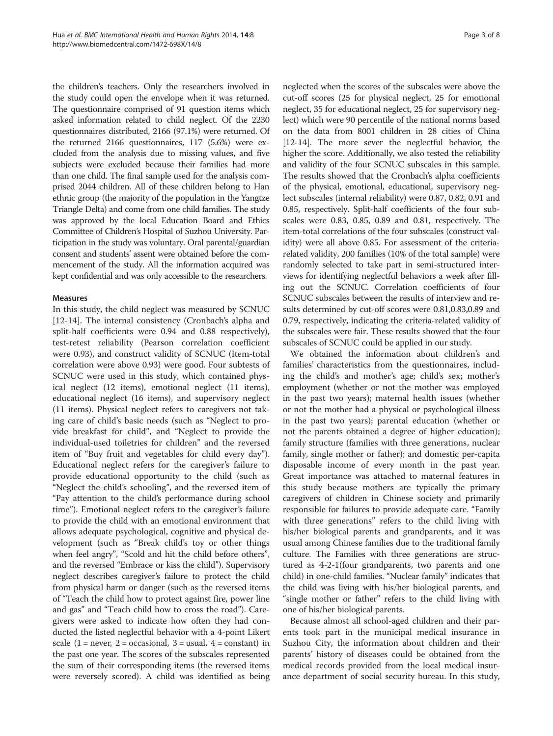the children's teachers. Only the researchers involved in the study could open the envelope when it was returned. The questionnaire comprised of 91 question items which asked information related to child neglect. Of the 2230 questionnaires distributed, 2166 (97.1%) were returned. Of the returned 2166 questionnaires, 117 (5.6%) were excluded from the analysis due to missing values, and five subjects were excluded because their families had more than one child. The final sample used for the analysis comprised 2044 children. All of these children belong to Han ethnic group (the majority of the population in the Yangtze Triangle Delta) and come from one child families. The study was approved by the local Education Board and Ethics Committee of Children's Hospital of Suzhou University. Participation in the study was voluntary. Oral parental/guardian consent and students' assent were obtained before the commencement of the study. All the information acquired was kept confidential and was only accessible to the researchers.

#### Measures

In this study, the child neglect was measured by SCNUC [[12-14](#page-8-0)]. The internal consistency (Cronbach's alpha and split-half coefficients were 0.94 and 0.88 respectively), test-retest reliability (Pearson correlation coefficient were 0.93), and construct validity of SCNUC (Item-total correlation were above 0.93) were good. Four subtests of SCNUC were used in this study, which contained physical neglect (12 items), emotional neglect (11 items), educational neglect (16 items), and supervisory neglect (11 items). Physical neglect refers to caregivers not taking care of child's basic needs (such as "Neglect to provide breakfast for child", and "Neglect to provide the individual-used toiletries for children" and the reversed item of "Buy fruit and vegetables for child every day"). Educational neglect refers for the caregiver's failure to provide educational opportunity to the child (such as "Neglect the child's schooling", and the reversed item of "Pay attention to the child's performance during school time"). Emotional neglect refers to the caregiver's failure to provide the child with an emotional environment that allows adequate psychological, cognitive and physical development (such as "Break child's toy or other things when feel angry", "Scold and hit the child before others", and the reversed "Embrace or kiss the child"). Supervisory neglect describes caregiver's failure to protect the child from physical harm or danger (such as the reversed items of "Teach the child how to protect against fire, power line and gas" and "Teach child how to cross the road"). Caregivers were asked to indicate how often they had conducted the listed neglectful behavior with a 4-point Likert scale  $(1 = never, 2 = occasional, 3 = usual, 4 = constant)$  in the past one year. The scores of the subscales represented the sum of their corresponding items (the reversed items were reversely scored). A child was identified as being

neglected when the scores of the subscales were above the cut-off scores (25 for physical neglect, 25 for emotional neglect, 35 for educational neglect, 25 for supervisory neglect) which were 90 percentile of the national norms based on the data from 8001 children in 28 cities of China [[12](#page-8-0)-[14\]](#page-8-0). The more sever the neglectful behavior, the higher the score. Additionally, we also tested the reliability and validity of the four SCNUC subscales in this sample. The results showed that the Cronbach's alpha coefficients of the physical, emotional, educational, supervisory neglect subscales (internal reliability) were 0.87, 0.82, 0.91 and 0.85, respectively. Split-half coefficients of the four subscales were 0.83, 0.85, 0.89 and 0.81, respectively. The item-total correlations of the four subscales (construct validity) were all above 0.85. For assessment of the criteriarelated validity, 200 families (10% of the total sample) were randomly selected to take part in semi-structured interviews for identifying neglectful behaviors a week after filling out the SCNUC. Correlation coefficients of four SCNUC subscales between the results of interview and results determined by cut-off scores were 0.81,0.83,0.89 and 0.79, respectively, indicating the criteria-related validity of the subscales were fair. These results showed that the four subscales of SCNUC could be applied in our study.

We obtained the information about children's and families' characteristics from the questionnaires, including the child's and mother's age; child's sex; mother's employment (whether or not the mother was employed in the past two years); maternal health issues (whether or not the mother had a physical or psychological illness in the past two years); parental education (whether or not the parents obtained a degree of higher education); family structure (families with three generations, nuclear family, single mother or father); and domestic per-capita disposable income of every month in the past year. Great importance was attached to maternal features in this study because mothers are typically the primary caregivers of children in Chinese society and primarily responsible for failures to provide adequate care. "Family with three generations" refers to the child living with his/her biological parents and grandparents, and it was usual among Chinese families due to the traditional family culture. The Families with three generations are structured as 4-2-1(four grandparents, two parents and one child) in one-child families. "Nuclear family" indicates that the child was living with his/her biological parents, and "single mother or father" refers to the child living with one of his/her biological parents.

Because almost all school-aged children and their parents took part in the municipal medical insurance in Suzhou City, the information about children and their parents' history of diseases could be obtained from the medical records provided from the local medical insurance department of social security bureau. In this study,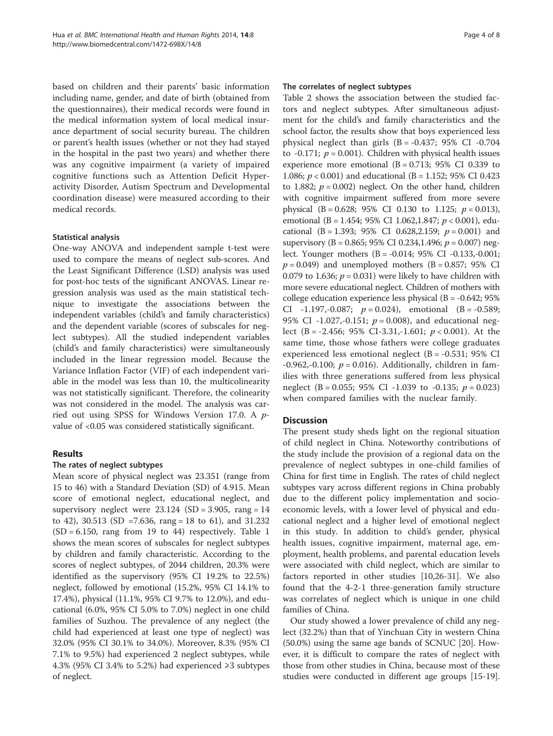based on children and their parents' basic information including name, gender, and date of birth (obtained from the questionnaires), their medical records were found in the medical information system of local medical insurance department of social security bureau. The children or parent's health issues (whether or not they had stayed in the hospital in the past two years) and whether there was any cognitive impairment (a variety of impaired cognitive functions such as Attention Deficit Hyperactivity Disorder, Autism Spectrum and Developmental coordination disease) were measured according to their medical records.

#### Statistical analysis

One-way ANOVA and independent sample t-test were used to compare the means of neglect sub-scores. And the Least Significant Difference (LSD) analysis was used for post-hoc tests of the significant ANOVAS. Linear regression analysis was used as the main statistical technique to investigate the associations between the independent variables (child's and family characteristics) and the dependent variable (scores of subscales for neglect subtypes). All the studied independent variables (child's and family characteristics) were simultaneously included in the linear regression model. Because the Variance Inflation Factor (VIF) of each independent variable in the model was less than 10, the multicolinearity was not statistically significant. Therefore, the colinearity was not considered in the model. The analysis was carried out using SPSS for Windows Version 17.0. A pvalue of <0.05 was considered statistically significant.

#### Results

#### The rates of neglect subtypes

Mean score of physical neglect was 23.351 (range from 15 to 46) with a Standard Deviation (SD) of 4.915. Mean score of emotional neglect, educational neglect, and supervisory neglect were  $23.124$  (SD = 3.905, rang = 14 to 42), 30.513 (SD =7.636, rang = 18 to 61), and 31.232  $(SD = 6.150$ , rang from [1](#page-5-0)9 to 44) respectively. Table 1 shows the mean scores of subscales for neglect subtypes by children and family characteristic. According to the scores of neglect subtypes, of 2044 children, 20.3% were identified as the supervisory (95% CI 19.2% to 22.5%) neglect, followed by emotional (15.2%, 95% CI 14.1% to 17.4%), physical (11.1%, 95% CI 9.7% to 12.0%), and educational (6.0%, 95% CI 5.0% to 7.0%) neglect in one child families of Suzhou. The prevalence of any neglect (the child had experienced at least one type of neglect) was 32.0% (95% CI 30.1% to 34.0%). Moreover, 8.3% (95% CI 7.1% to 9.5%) had experienced 2 neglect subtypes, while 4.3% (95% CI 3.4% to 5.2%) had experienced  $\geq 3$  subtypes of neglect.

#### The correlates of neglect subtypes

Table [2](#page-6-0) shows the association between the studied factors and neglect subtypes. After simultaneous adjustment for the child's and family characteristics and the school factor, the results show that boys experienced less physical neglect than girls  $(B = -0.437; 95\% \text{ CI} -0.704$ to -0.171;  $p = 0.001$ ). Children with physical health issues experience more emotional  $(B = 0.713; 95\% \text{ CI } 0.339 \text{ to } 0.339 \text{ CI } 0.339 \text{ CI } 0.339 \text{ CI } 0.339 \text{ CI } 0.339 \text{ CI } 0.339 \text{ CI } 0.339 \text{ CI } 0.339 \text{ CI } 0.339 \text{ CI } 0.339 \text{ CI } 0.339 \text{ CI } 0.339 \text{ CI } 0.339 \text{ CI } 0.339 \text{ CI } 0.339 \text{ CI$ 1.086;  $p < 0.001$ ) and educational (B = 1.152; 95% CI 0.423 to 1.882;  $p = 0.002$ ) neglect. On the other hand, children with cognitive impairment suffered from more severe physical  $(B = 0.628; 95\% \text{ CI } 0.130 \text{ to } 1.125; p = 0.013$ ), emotional (B = 1.454; 95% CI 1.062, 1.847; *p* < 0.001), educational (B = 1.393; 95% CI 0.628,2.159;  $p = 0.001$ ) and supervisory ( $B = 0.865$ ; 95% CI 0.234,1.496;  $p = 0.007$ ) neglect. Younger mothers (Β = -0.014; 95% CI -0.133,-0.001;  $p = 0.049$ ) and unemployed mothers (B = 0.857; 95% CI 0.079 to 1.636;  $p = 0.031$ ) were likely to have children with more severe educational neglect. Children of mothers with college education experience less physical (Β = -0.642; 95% CI -1.197,-0.087;  $p = 0.024$ ), emotional (B = -0.589; 95% CI -1.027,-0.151;  $p = 0.008$ ), and educational neglect (B = -2.456; 95% CI-3.31,-1.601;  $p < 0.001$ ). At the same time, those whose fathers were college graduates experienced less emotional neglect (Β = -0.531; 95% CI -0.962,-0.100;  $p = 0.016$ ). Additionally, children in families with three generations suffered from less physical neglect (B = 0.055; 95% CI -1.039 to -0.135;  $p = 0.023$ ) when compared families with the nuclear family.

#### **Discussion**

The present study sheds light on the regional situation of child neglect in China. Noteworthy contributions of the study include the provision of a regional data on the prevalence of neglect subtypes in one-child families of China for first time in English. The rates of child neglect subtypes vary across different regions in China probably due to the different policy implementation and socioeconomic levels, with a lower level of physical and educational neglect and a higher level of emotional neglect in this study. In addition to child's gender, physical health issues, cognitive impairment, maternal age, employment, health problems, and parental education levels were associated with child neglect, which are similar to factors reported in other studies [\[10](#page-8-0),[26](#page-8-0)-[31\]](#page-8-0). We also found that the 4-2-1 three-generation family structure was correlates of neglect which is unique in one child families of China.

Our study showed a lower prevalence of child any neglect (32.2%) than that of Yinchuan City in western China (50.0%) using the same age bands of SCNUC [\[20\]](#page-8-0). However, it is difficult to compare the rates of neglect with those from other studies in China, because most of these studies were conducted in different age groups [\[15-19](#page-8-0)].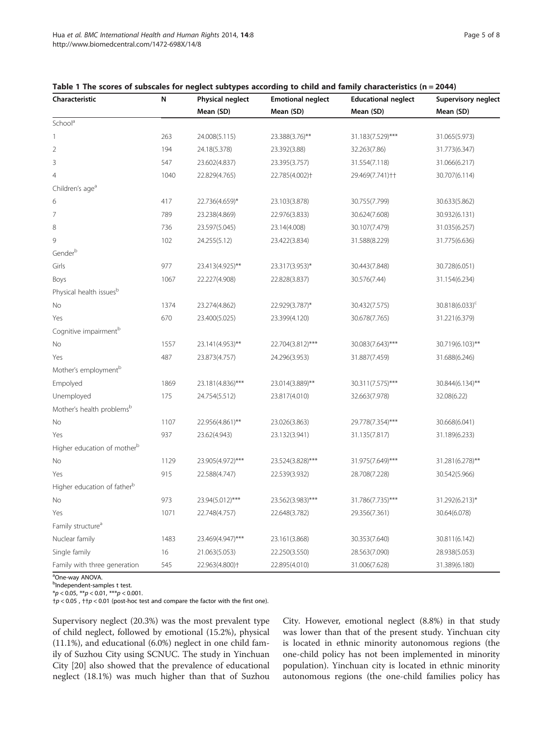| Characteristic                          | N    | Physical neglect | <b>Emotional neglect</b> | <b>Educational neglect</b> | <b>Supervisory neglect</b> |
|-----------------------------------------|------|------------------|--------------------------|----------------------------|----------------------------|
|                                         |      | Mean (SD)        | Mean (SD)                | Mean (SD)                  | Mean (SD)                  |
| School <sup>a</sup>                     |      |                  |                          |                            |                            |
| $\mathbf{1}$                            | 263  | 24.008(5.115)    | 23.388(3.76)**           | 31.183(7.529)***           | 31.065(5.973)              |
| $\overline{2}$                          | 194  | 24.18(5.378)     | 23.392(3.88)             | 32.263(7.86)               | 31.773(6.347)              |
| $\mathsf 3$                             | 547  | 23.602(4.837)    | 23.395(3.757)            | 31.554(7.118)              | 31.066(6.217)              |
| $\overline{4}$                          | 1040 | 22.829(4.765)    | 22.785(4.002)+           | 29.469(7.741)++            | 30.707(6.114)              |
| Children's age <sup>a</sup>             |      |                  |                          |                            |                            |
| 6                                       | 417  | 22.736(4.659)*   | 23.103(3.878)            | 30.755(7.799)              | 30.633(5.862)              |
| 7                                       | 789  | 23.238(4.869)    | 22.976(3.833)            | 30.624(7.608)              | 30.932(6.131)              |
| 8                                       | 736  | 23.597(5.045)    | 23.14(4.008)             | 30.107(7.479)              | 31.035(6.257)              |
| 9                                       | 102  | 24.255(5.12)     | 23.422(3.834)            | 31.588(8.229)              | 31.775(6.636)              |
| Genderb                                 |      |                  |                          |                            |                            |
| Girls                                   | 977  | 23.413(4.925)**  | 23.317(3.953)*           | 30.443(7.848)              | 30.728(6.051)              |
| Boys                                    | 1067 | 22.227(4.908)    | 22.828(3.837)            | 30.576(7.44)               | 31.154(6.234)              |
| Physical health issues <sup>b</sup>     |      |                  |                          |                            |                            |
| No                                      | 1374 | 23.274(4.862)    | 22.929(3.787)*           | 30.432(7.575)              | $30.818(6.033)^c$          |
| Yes                                     | 670  | 23.400(5.025)    | 23.399(4.120)            | 30.678(7.765)              | 31.221(6.379)              |
| Cognitive impairment <sup>b</sup>       |      |                  |                          |                            |                            |
| No                                      | 1557 | 23.141(4.953)**  | 22.704(3.812)***         | 30.083(7.643)***           | 30.719(6.103)**            |
| Yes                                     | 487  | 23.873(4.757)    | 24.296(3.953)            | 31.887(7.459)              | 31.688(6.246)              |
| Mother's employment <sup>b</sup>        |      |                  |                          |                            |                            |
| Empolyed                                | 1869 | 23.181(4.836)*** | 23.014(3.889)**          | 30.311(7.575)***           | 30.844(6.134)**            |
| Unemployed                              | 175  | 24.754(5.512)    | 23.817(4.010)            | 32.663(7.978)              | 32.08(6.22)                |
| Mother's health problems <sup>b</sup>   |      |                  |                          |                            |                            |
| No                                      | 1107 | 22.956(4.861)**  | 23.026(3.863)            | 29.778(7.354)***           | 30.668(6.041)              |
| Yes                                     | 937  | 23.62(4.943)     | 23.132(3.941)            | 31.135(7.817)              | 31.189(6.233)              |
| Higher education of mother <sup>b</sup> |      |                  |                          |                            |                            |
| No                                      | 1129 | 23.905(4.972)*** | 23.524(3.828)***         | 31.975(7.649)***           | 31.281(6.278)**            |
| Yes                                     | 915  | 22.588(4.747)    | 22.539(3.932)            | 28.708(7.228)              | 30.542(5.966)              |
| Higher education of father <sup>b</sup> |      |                  |                          |                            |                            |
| No                                      | 973  | 23.94(5.012)***  | 23.562(3.983)***         | 31.786(7.735)***           | 31.292(6.213)*             |
| Yes                                     | 1071 | 22.748(4.757)    | 22.648(3.782)            | 29.356(7.361)              | 30.64(6.078)               |
| Family structure <sup>a</sup>           |      |                  |                          |                            |                            |
| Nuclear family                          | 1483 | 23.469(4.947)*** | 23.161(3.868)            | 30.353(7.640)              | 30.811(6.142)              |
| Single family                           | 16   | 21.063(5.053)    | 22.250(3.550)            | 28.563(7.090)              | 28.938(5.053)              |
| Family with three generation            | 545  | 22.963(4.800)+   | 22.895(4.010)            | 31.006(7.628)              | 31.389(6.180)              |

<span id="page-5-0"></span>Table 1 The scores of subscales for neglect subtypes according to child and family characteristics (n = 2044)

a One-way ANOVA.

<sup>b</sup>Independent-samples t test.

 $*p < 0.05$ ,  $**p < 0.01$ ,  $***p < 0.001$ .

 $\frac{1}{p}$  < 0.05,  $\frac{1}{p}$  < 0.01 (post-hoc test and compare the factor with the first one).

Supervisory neglect (20.3%) was the most prevalent type of child neglect, followed by emotional (15.2%), physical (11.1%), and educational (6.0%) neglect in one child family of Suzhou City using SCNUC. The study in Yinchuan City [\[20\]](#page-8-0) also showed that the prevalence of educational neglect (18.1%) was much higher than that of Suzhou

City. However, emotional neglect (8.8%) in that study was lower than that of the present study. Yinchuan city is located in ethnic minority autonomous regions (the one-child policy has not been implemented in minority population). Yinchuan city is located in ethnic minority autonomous regions (the one-child families policy has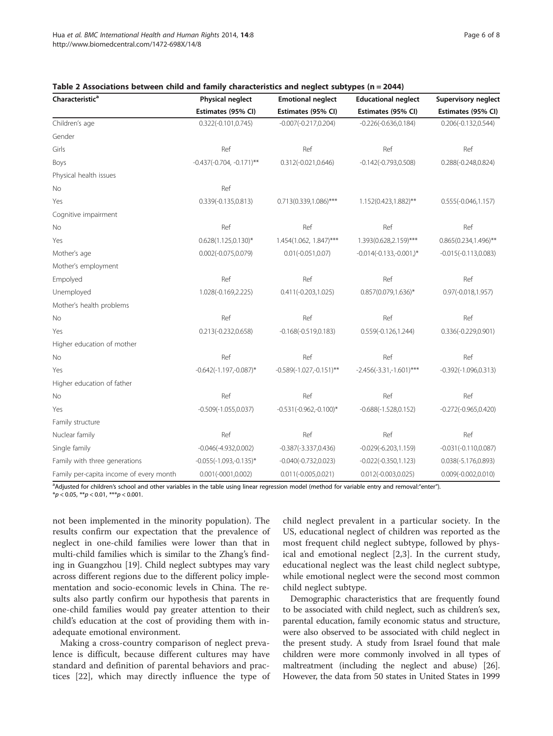| Characteristic <sup>a</sup>             | Physical neglect            | <b>Emotional neglect</b>   | <b>Educational neglect</b>  | <b>Supervisory neglect</b><br>Estimates (95% CI) |  |
|-----------------------------------------|-----------------------------|----------------------------|-----------------------------|--------------------------------------------------|--|
|                                         | Estimates (95% CI)          | Estimates (95% CI)         | Estimates (95% CI)          |                                                  |  |
| Children's age                          | $0.322(-0.101, 0.745)$      | $-0.007(-0.217, 0.204)$    | $-0.226(-0.636, 0.184)$     | $0.206(-0.132, 0.544)$                           |  |
| Gender                                  |                             |                            |                             |                                                  |  |
| Girls                                   | Ref                         | Ref                        | Ref                         | Ref                                              |  |
| Boys                                    | $-0.437(-0.704, -0.171)$ ** | 0.312(-0.021,0.646)        | $-0.142(-0.793, 0.508)$     | $0.288(-0.248, 0.824)$                           |  |
| Physical health issues                  |                             |                            |                             |                                                  |  |
| No                                      | Ref                         |                            |                             |                                                  |  |
| Yes                                     | 0.339(-0.135,0.813)         | 0.713(0.339,1.086)***      | 1.152(0.423,1.882)**        | $0.555(-0.046, 1.157)$                           |  |
| Cognitive impairment                    |                             |                            |                             |                                                  |  |
| No                                      | Ref                         | Ref                        | Ref                         | Ref                                              |  |
| Yes                                     | $0.628(1.125, 0.130)^*$     | 1.454(1.062, 1.847)***     | 1.393(0.628,2.159)***       | $0.865(0.234, 1.496)$ **                         |  |
| Mother's age                            | 0.002(-0.075,0.079)         | $0.01(-0.051, 0.07)$       | $-0.014(-0.133,-0.001)^{*}$ | $-0.015(-0.113, 0.083)$                          |  |
| Mother's employment                     |                             |                            |                             |                                                  |  |
| Empolyed                                | Ref                         | Ref                        | Ref                         | Ref                                              |  |
| Unemployed                              | 1.028(-0.169,2.225)         | $0.411(-0.203, 1.025)$     | 0.857(0.079,1.636)*         | $0.97(-0.018, 1.957)$                            |  |
| Mother's health problems                |                             |                            |                             |                                                  |  |
| No                                      | Ref                         | Ref                        | Ref                         | Ref                                              |  |
| Yes                                     | 0.213(-0.232,0.658)         | $-0.168(-0.519, 0.183)$    | $0.559(-0.126, 1.244)$      | 0.336(-0.229,0.901)                              |  |
| Higher education of mother              |                             |                            |                             |                                                  |  |
| No                                      | Ref                         | Ref                        | Ref                         | Ref                                              |  |
| Yes                                     | $-0.642(-1.197,-0.087)$ *   | $-0.589(-1.027,-0.151)$ ** | $-2.456(-3.31,-1.601)$ ***  | $-0.392(-1.096, 0.313)$                          |  |
| Higher education of father              |                             |                            |                             |                                                  |  |
| No                                      | Ref                         | Ref                        | Ref                         | Ref                                              |  |
| Yes                                     | $-0.509(-1.055, 0.037)$     | $-0.531(-0.962,-0.100)$ *  | $-0.688(-1.528, 0.152)$     | $-0.272(-0.965, 0.420)$                          |  |
| Family structure                        |                             |                            |                             |                                                  |  |
| Nuclear family                          | Ref                         | Ref                        | Ref                         | Ref                                              |  |
| Single family                           | $-0.046(-4.932, 0.002)$     | $-0.387(-3.337, 0.436)$    | $-0.029(-6.203, 1.159)$     | $-0.031(-0.110, 0.087)$                          |  |
| Family with three generations           | $-0.055(-1.093,-0.135)^{*}$ | $-0.040(-0.732, 0.023)$    | $-0.022(-0.350, 1.123)$     | $0.038(-5.176, 0.893)$                           |  |
| Family per-capita income of every month | $0.001(-0001, 0.002)$       | $0.011(-0.005, 0.021)$     | $0.012(-0.003, 0.025)$      | $0.009(-0.002, 0.010)$                           |  |

<span id="page-6-0"></span>

| Table 2 Associations between child and family characteristics and neglect subtypes (n = 2044) |  |  |  |
|-----------------------------------------------------------------------------------------------|--|--|--|
|-----------------------------------------------------------------------------------------------|--|--|--|

a<br>Adjusted for children's school and other variables in the table using linear regression model (method for variable entry and removal:"enter").

 $*p < 0.05$ ,  $**p < 0.01$ ,  $***p < 0.001$ .

not been implemented in the minority population). The results confirm our expectation that the prevalence of neglect in one-child families were lower than that in multi-child families which is similar to the Zhang's finding in Guangzhou [[19\]](#page-8-0). Child neglect subtypes may vary across different regions due to the different policy implementation and socio-economic levels in China. The results also partly confirm our hypothesis that parents in one-child families would pay greater attention to their child's education at the cost of providing them with inadequate emotional environment.

Making a cross-country comparison of neglect prevalence is difficult, because different cultures may have standard and definition of parental behaviors and practices [\[22](#page-8-0)], which may directly influence the type of

child neglect prevalent in a particular society. In the US, educational neglect of children was reported as the most frequent child neglect subtype, followed by physical and emotional neglect [\[2,3](#page-8-0)]. In the current study, educational neglect was the least child neglect subtype, while emotional neglect were the second most common child neglect subtype.

Demographic characteristics that are frequently found to be associated with child neglect, such as children's sex, parental education, family economic status and structure, were also observed to be associated with child neglect in the present study. A study from Israel found that male children were more commonly involved in all types of maltreatment (including the neglect and abuse) [[26](#page-8-0)]. However, the data from 50 states in United States in 1999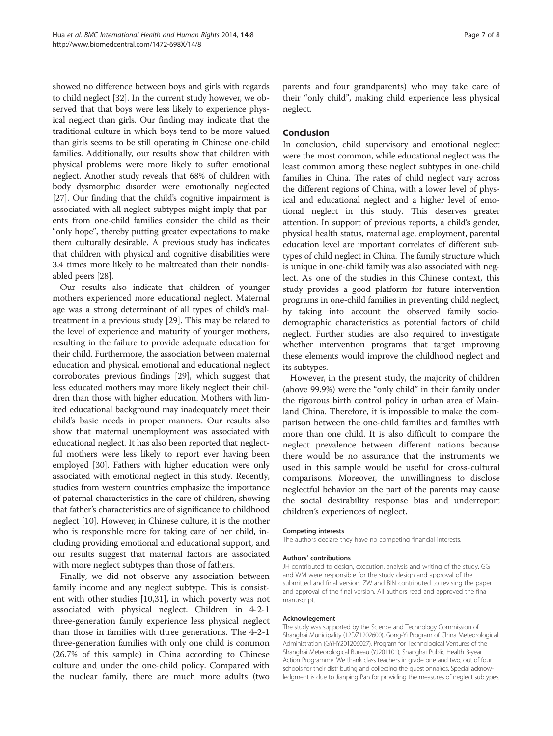showed no difference between boys and girls with regards to child neglect [\[32\]](#page-8-0). In the current study however, we observed that that boys were less likely to experience physical neglect than girls. Our finding may indicate that the traditional culture in which boys tend to be more valued than girls seems to be still operating in Chinese one-child families. Additionally, our results show that children with physical problems were more likely to suffer emotional neglect. Another study reveals that 68% of children with body dysmorphic disorder were emotionally neglected [[27](#page-8-0)]. Our finding that the child's cognitive impairment is associated with all neglect subtypes might imply that parents from one-child families consider the child as their "only hope", thereby putting greater expectations to make them culturally desirable. A previous study has indicates that children with physical and cognitive disabilities were 3.4 times more likely to be maltreated than their nondisabled peers [\[28\]](#page-8-0).

Our results also indicate that children of younger mothers experienced more educational neglect. Maternal age was a strong determinant of all types of child's maltreatment in a previous study [[29](#page-8-0)]. This may be related to the level of experience and maturity of younger mothers, resulting in the failure to provide adequate education for their child. Furthermore, the association between maternal education and physical, emotional and educational neglect corroborates previous findings [\[29](#page-8-0)], which suggest that less educated mothers may more likely neglect their children than those with higher education. Mothers with limited educational background may inadequately meet their child's basic needs in proper manners. Our results also show that maternal unemployment was associated with educational neglect. It has also been reported that neglectful mothers were less likely to report ever having been employed [[30](#page-8-0)]. Fathers with higher education were only associated with emotional neglect in this study. Recently, studies from western countries emphasize the importance of paternal characteristics in the care of children, showing that father's characteristics are of significance to childhood neglect [\[10\]](#page-8-0). However, in Chinese culture, it is the mother who is responsible more for taking care of her child, including providing emotional and educational support, and our results suggest that maternal factors are associated with more neglect subtypes than those of fathers.

Finally, we did not observe any association between family income and any neglect subtype. This is consistent with other studies [\[10,31](#page-8-0)], in which poverty was not associated with physical neglect. Children in 4-2-1 three-generation family experience less physical neglect than those in families with three generations. The 4-2-1 three-generation families with only one child is common (26.7% of this sample) in China according to Chinese culture and under the one-child policy. Compared with the nuclear family, there are much more adults (two parents and four grandparents) who may take care of their "only child", making child experience less physical neglect.

#### Conclusion

In conclusion, child supervisory and emotional neglect were the most common, while educational neglect was the least common among these neglect subtypes in one-child families in China. The rates of child neglect vary across the different regions of China, with a lower level of physical and educational neglect and a higher level of emotional neglect in this study. This deserves greater attention. In support of previous reports, a child's gender, physical health status, maternal age, employment, parental education level are important correlates of different subtypes of child neglect in China. The family structure which is unique in one-child family was also associated with neglect. As one of the studies in this Chinese context, this study provides a good platform for future intervention programs in one-child families in preventing child neglect, by taking into account the observed family sociodemographic characteristics as potential factors of child neglect. Further studies are also required to investigate whether intervention programs that target improving these elements would improve the childhood neglect and its subtypes.

However, in the present study, the majority of children (above 99.9%) were the "only child" in their family under the rigorous birth control policy in urban area of Mainland China. Therefore, it is impossible to make the comparison between the one-child families and families with more than one child. It is also difficult to compare the neglect prevalence between different nations because there would be no assurance that the instruments we used in this sample would be useful for cross-cultural comparisons. Moreover, the unwillingness to disclose neglectful behavior on the part of the parents may cause the social desirability response bias and underreport children's experiences of neglect.

#### Competing interests

The authors declare they have no competing financial interests.

#### Authors' contributions

JH contributed to design, execution, analysis and writing of the study. GG and WM were responsible for the study design and approval of the submitted and final version. ZW and BIN contributed to revising the paper and approval of the final version. All authors read and approved the final manuscript.

#### Acknowlegement

The study was supported by the Science and Technology Commission of Shanghai Municipality (12DZ1202600), Gong-Yi Program of China Meteorological Administration (GYHY201206027), Program for Technological Ventures of the Shanghai Meteorological Bureau (YJ201101), Shanghai Public Health 3-year Action Programme. We thank class teachers in grade one and two, out of four schools for their distributing and collecting the questionnaires. Special acknowledgment is due to Jianping Pan for providing the measures of neglect subtypes.